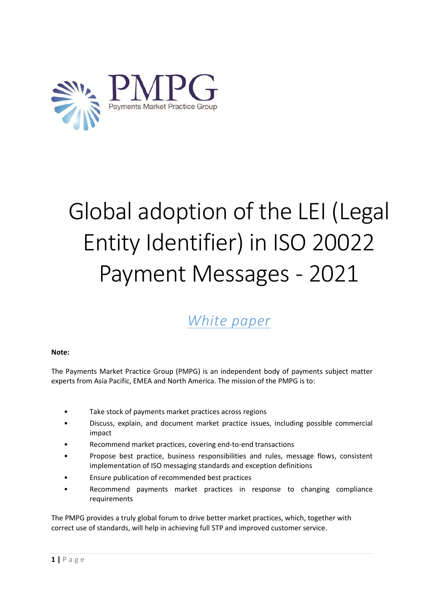

# Global adoption of the LEI (Legal Entity Identifier) in ISO 20022 Payment Messages - 2021

# *White paper*

#### **Note:**

The Payments Market Practice Group (PMPG) is an independent body of payments subject matter experts from Asia Pacific, EMEA and North America. The mission of the PMPG is to:

- Take stock of payments market practices across regions
- Discuss, explain, and document market practice issues, including possible commercial impact
- Recommend market practices, covering end-to-end transactions
- Propose best practice, business responsibilities and rules, message flows, consistent implementation of ISO messaging standards and exception definitions
- Ensure publication of recommended best practices
- Recommend payments market practices in response to changing compliance requirements

The PMPG provides a truly global forum to drive better market practices, which, together with correct use of standards, will help in achieving full STP and improved customer service.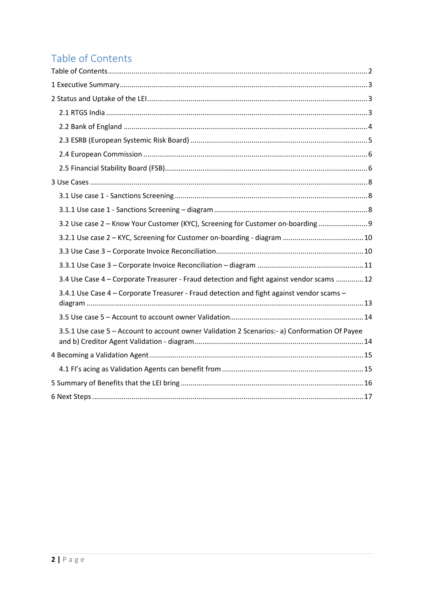# <span id="page-1-0"></span>Table of Contents

| 3.2 Use case 2 - Know Your Customer (KYC), Screening for Customer on-boarding 9               |
|-----------------------------------------------------------------------------------------------|
|                                                                                               |
|                                                                                               |
|                                                                                               |
| 3.4 Use Case 4 - Corporate Treasurer - Fraud detection and fight against vendor scams  12     |
| 3.4.1 Use Case 4 - Corporate Treasurer - Fraud detection and fight against vendor scams -     |
|                                                                                               |
| 3.5.1 Use case 5 - Account to account owner Validation 2 Scenarios:- a) Conformation Of Payee |
|                                                                                               |
|                                                                                               |
|                                                                                               |
|                                                                                               |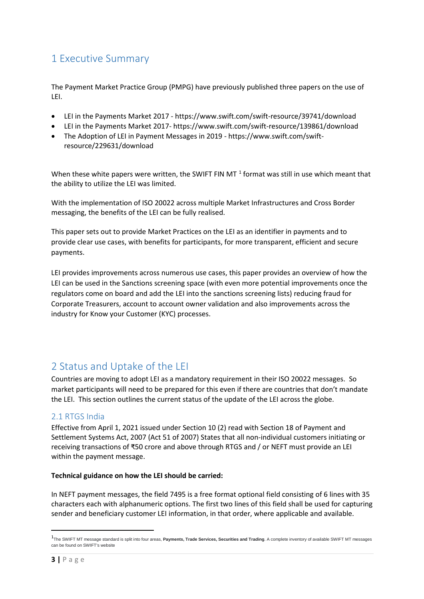# <span id="page-2-0"></span>1 Executive Summary

The Payment Market Practice Group (PMPG) have previously published three papers on the use of LEI.

- [LEI in the Payments Market 2017](https://www.swift.com/about-us/community/swift-advisory-groups/payments-market-practice-group/disclaimer/swift-payments-market-practice-group-document-centre) https://www.swift.com/swift-resource/39741/download
- LEI in the Payments Market 2017- https://www.swift.com/swift-resource/139861/download
- [The Adoption of LEI in Payment Messages in 2019](https://www.swift.com/about-us/community/swift-advisory-groups/payments-market-practice-group/disclaimer/swift-payments-market-practice-group-document-centre) [https://www.swift.com/swift](https://www.swift.com/swift-resource/229631/download)[resource/229631/download](https://www.swift.com/swift-resource/229631/download)

When these white papers were written, the SWIFT FIN MT<sup>[1](#page-2-3)</sup> format was still in use which meant that the ability to utilize the LEI was limited.

With the implementation of ISO 20022 across multiple Market Infrastructures and Cross Border messaging, the benefits of the LEI can be fully realised.

This paper sets out to provide Market Practices on the LEI as an identifier in payments and to provide clear use cases, with benefits for participants, for more transparent, efficient and secure payments.

LEI provides improvements across numerous use cases, this paper provides an overview of how the LEI can be used in the Sanctions screening space (with even more potential improvements once the regulators come on board and add the LEI into the sanctions screening lists) reducing fraud for Corporate Treasurers, account to account owner validation and also improvements across the industry for Know your Customer (KYC) processes.

# <span id="page-2-1"></span>2 Status and Uptake of the LEI

Countries are moving to adopt LEI as a mandatory requirement in their ISO 20022 messages. So market participants will need to be prepared for this even if there are countries that don't mandate the LEI. This section outlines the current status of the update of the LEI across the globe.

#### <span id="page-2-2"></span>2.1 RTGS India

Effective from April 1, 2021 issued under Section 10 (2) read with Section 18 of Payment and Settlement Systems Act, 2007 (Act 51 of 2007) States that all non-individual customers initiating or receiving transactions of ₹50 crore and above through RTGS and / or NEFT must provide an LEI within the payment message.

#### **Technical guidance on how the LEI should be carried:**

In NEFT payment messages, the field 7495 is a free format optional field consisting of 6 lines with 35 characters each with alphanumeric options. The first two lines of this field shall be used for capturing sender and beneficiary customer LEI information, in that order, where applicable and available.

<span id="page-2-3"></span> $\frac{1}{1}$ The SWIFT MT message standard is split into four areas, **Payments, Trade Services, Securities and Trading**. A complete inventory of available SWIFT MT messages can be found on SWIFT's website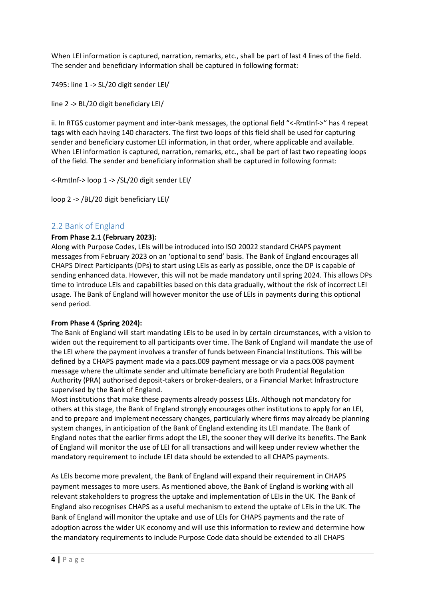When LEI information is captured, narration, remarks, etc., shall be part of last 4 lines of the field. The sender and beneficiary information shall be captured in following format:

7495: line 1 -> SL/20 digit sender LEI/

line 2 -> BL/20 digit beneficiary LEI/

ii. In RTGS customer payment and inter-bank messages, the optional field "<-RmtInf->" has 4 repeat tags with each having 140 characters. The first two loops of this field shall be used for capturing sender and beneficiary customer LEI information, in that order, where applicable and available. When LEI information is captured, narration, remarks, etc., shall be part of last two repeating loops of the field. The sender and beneficiary information shall be captured in following format:

<-RmtInf-> loop 1 -> /SL/20 digit sender LEI/

loop 2 -> /BL/20 digit beneficiary LEI/

#### <span id="page-3-0"></span>2.2 Bank of England

#### **From Phase 2.1 (February 2023):**

Along with Purpose Codes, LEIs will be introduced into ISO 20022 standard CHAPS payment messages from February 2023 on an 'optional to send' basis. The Bank of England encourages all CHAPS Direct Participants (DPs) to start using LEIs as early as possible, once the DP is capable of sending enhanced data. However, this will not be made mandatory until spring 2024. This allows DPs time to introduce LEIs and capabilities based on this data gradually, without the risk of incorrect LEI usage. The Bank of England will however monitor the use of LEIs in payments during this optional send period.

#### **From Phase 4 (Spring 2024):**

The Bank of England will start mandating LEIs to be used in by certain circumstances, with a vision to widen out the requirement to all participants over time. The Bank of England will mandate the use of the LEI where the payment involves a transfer of funds between Financial Institutions. This will be defined by a CHAPS payment made via a pacs.009 payment message or via a pacs.008 payment message where the ultimate sender and ultimate beneficiary are both Prudential Regulation Authority (PRA) authorised deposit-takers or broker-dealers, or a Financial Market Infrastructure supervised by the Bank of England.

Most institutions that make these payments already possess LEIs. Although not mandatory for others at this stage, the Bank of England strongly encourages other institutions to apply for an LEI, and to prepare and implement necessary changes, particularly where firms may already be planning system changes, in anticipation of the Bank of England extending its LEI mandate. The Bank of England notes that the earlier firms adopt the LEI, the sooner they will derive its benefits. The Bank of England will monitor the use of LEI for all transactions and will keep under review whether the mandatory requirement to include LEI data should be extended to all CHAPS payments.

As LEIs become more prevalent, the Bank of England will expand their requirement in CHAPS payment messages to more users. As mentioned above, the Bank of England is working with all relevant stakeholders to progress the uptake and implementation of LEIs in the UK. The Bank of England also recognises CHAPS as a useful mechanism to extend the uptake of LEIs in the UK. The Bank of England will monitor the uptake and use of LEIs for CHAPS payments and the rate of adoption across the wider UK economy and will use this information to review and determine how the mandatory requirements to include Purpose Code data should be extended to all CHAPS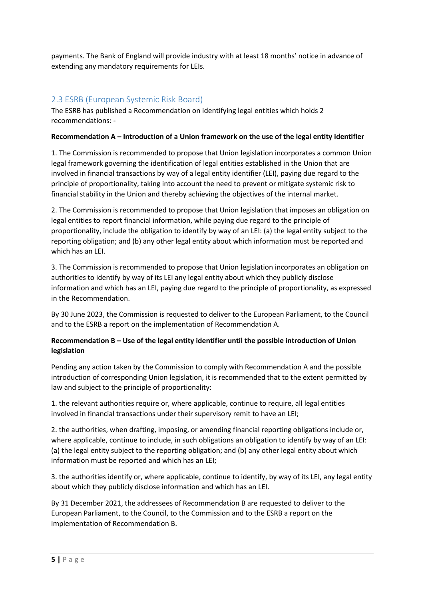payments. The Bank of England will provide industry with at least 18 months' notice in advance of extending any mandatory requirements for LEIs.

#### <span id="page-4-0"></span>2.3 ESRB (European Systemic Risk Board)

The ESRB has published a [Recommendation on identifying legal entities](https://www.esrb.europa.eu/pub/pdf/recommendations/esrb.recommendation201126_on_identifying_legal_entities%7E89fd5f8f1e.en.pdf?f0a0cbe6a04176db31770ccf6899adb3) which holds 2 recommendations: -

#### **Recommendation A – Introduction of a Union framework on the use of the legal entity identifier**

1. The Commission is recommended to propose that Union legislation incorporates a common Union legal framework governing the identification of legal entities established in the Union that are involved in financial transactions by way of a legal entity identifier (LEI), paying due regard to the principle of proportionality, taking into account the need to prevent or mitigate systemic risk to financial stability in the Union and thereby achieving the objectives of the internal market.

2. The Commission is recommended to propose that Union legislation that imposes an obligation on legal entities to report financial information, while paying due regard to the principle of proportionality, include the obligation to identify by way of an LEI: (a) the legal entity subject to the reporting obligation; and (b) any other legal entity about which information must be reported and which has an LEI.

3. The Commission is recommended to propose that Union legislation incorporates an obligation on authorities to identify by way of its LEI any legal entity about which they publicly disclose information and which has an LEI, paying due regard to the principle of proportionality, as expressed in the Recommendation.

By 30 June 2023, the Commission is requested to deliver to the European Parliament, to the Council and to the ESRB a report on the implementation of Recommendation A.

#### **Recommendation B – Use of the legal entity identifier until the possible introduction of Union legislation**

Pending any action taken by the Commission to comply with Recommendation A and the possible introduction of corresponding Union legislation, it is recommended that to the extent permitted by law and subject to the principle of proportionality:

1. the relevant authorities require or, where applicable, continue to require, all legal entities involved in financial transactions under their supervisory remit to have an LEI;

2. the authorities, when drafting, imposing, or amending financial reporting obligations include or, where applicable, continue to include, in such obligations an obligation to identify by way of an LEI: (a) the legal entity subject to the reporting obligation; and (b) any other legal entity about which information must be reported and which has an LEI;

3. the authorities identify or, where applicable, continue to identify, by way of its LEI, any legal entity about which they publicly disclose information and which has an LEI.

By 31 December 2021, the addressees of Recommendation B are requested to deliver to the European Parliament, to the Council, to the Commission and to the ESRB a report on the implementation of Recommendation B.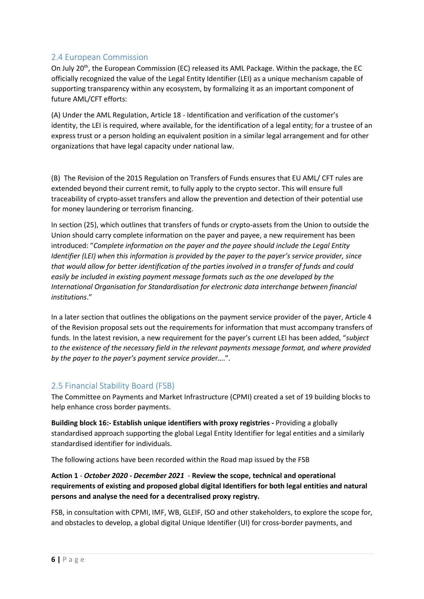#### <span id="page-5-0"></span>2.4 European Commission

On July 20th, the European Commission (EC) released its AML Package. Within the package, the EC officially recognized the value of the Legal Entity Identifier (LEI) as a unique mechanism capable of supporting transparency within any ecosystem, by formalizing it as an important component of future AML/CFT efforts:

(A) Under the AML [Regulation,](https://ec.europa.eu/finance/docs/law/210720-proposal-aml-cft_en.pdf) Article 18 - Identification and verification of the customer's identity, the LEI is required, where available, for the identification of a legal entity; for a trustee of an express trust or a person holding an equivalent position in a similar legal arrangement and for other organizations that have legal capacity under national law.

(B) The [Revision of the 2015 Regulation on Transfers of Funds](https://ec.europa.eu/finance/docs/law/210720-proposal-funds-transfers_en.pdf) ensures that EU AML/ CFT rules are extended beyond their current remit, to fully apply to the crypto sector. This will ensure full traceability of crypto-asset transfers and allow the prevention and detection of their potential use for money laundering or terrorism financing.

In section (25), which outlines that transfers of funds or crypto-assets from the Union to outside the Union should carry complete information on the payer and payee, a new requirement has been introduced: "*Complete information on the payer and the payee should include the Legal Entity Identifier (LEI) when this information is provided by the payer to the payer's service provider, since that would allow for better identification of the parties involved in a transfer of funds and could easily be included in existing payment message formats such as the one developed by the International Organisation for Standardisation for electronic data interchange between financial institutions*."

In a later section that outlines the obligations on the payment service provider of the payer, Article 4 of the Revision proposal sets out the requirements for information that must accompany transfers of funds. In the latest revision, a new requirement for the payer's current LEI has been added, "*subject to the existence of the necessary field in the relevant payments message format, and where provided by the payer to the payer's payment service provide*r….".

## <span id="page-5-1"></span>2.5 Financial Stability Board (FSB)

The Committee on Payments and Market Infrastructure (CPMI) created a set of 19 building blocks to help enhance cross border payments.

**Building block 16:- Establish unique identifiers with proxy registries -** Providing a globally standardised approach supporting the global Legal Entity Identifier for legal entities and a similarly standardised identifier for individuals.

The following actions have been recorded within the Road map issued by the FSB

#### **Action 1** - *October 2020 - December 2021* - **Review the scope, technical and operational requirements of existing and proposed global digital Identifiers for both legal entities and natural persons and analyse the need for a decentralised proxy registry.**

FSB, in consultation with CPMI, IMF, WB, GLEIF, ISO and other stakeholders, to explore the scope for, and obstacles to develop, a global digital Unique Identifier (UI) for cross-border payments, and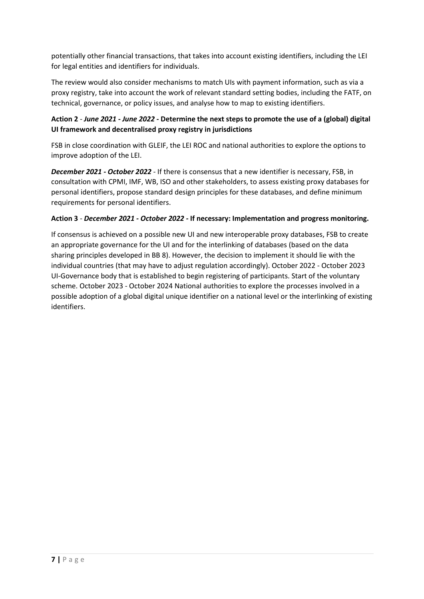potentially other financial transactions, that takes into account existing identifiers, including the LEI for legal entities and identifiers for individuals.

The review would also consider mechanisms to match UIs with payment information, such as via a proxy registry, take into account the work of relevant standard setting bodies, including the FATF, on technical, governance, or policy issues, and analyse how to map to existing identifiers.

#### **Action 2** - *June 2021 - June 2022 -* **Determine the next steps to promote the use of a (global) digital UI framework and decentralised proxy registry in jurisdictions**

FSB in close coordination with GLEIF, the LEI ROC and national authorities to explore the options to improve adoption of the LEI.

*December 2021 - October 2022* - If there is consensus that a new identifier is necessary, FSB, in consultation with CPMI, IMF, WB, ISO and other stakeholders, to assess existing proxy databases for personal identifiers, propose standard design principles for these databases, and define minimum requirements for personal identifiers.

#### **Action 3** - *December 2021 - October 2022 -* **If necessary: Implementation and progress monitoring.**

If consensus is achieved on a possible new UI and new interoperable proxy databases, FSB to create an appropriate governance for the UI and for the interlinking of databases (based on the data sharing principles developed in BB 8). However, the decision to implement it should lie with the individual countries (that may have to adjust regulation accordingly). October 2022 - October 2023 UI-Governance body that is established to begin registering of participants. Start of the voluntary scheme. October 2023 - October 2024 National authorities to explore the processes involved in a possible adoption of a global digital unique identifier on a national level or the interlinking of existing identifiers.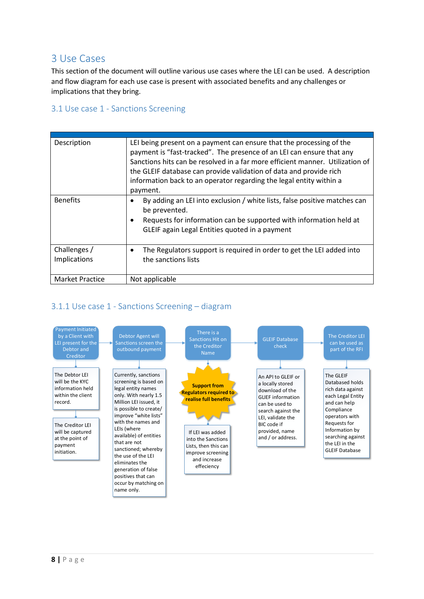# <span id="page-7-0"></span>3 Use Cases

This section of the document will outline various use cases where the LEI can be used. A description and flow diagram for each use case is present with associated benefits and any challenges or implications that they bring.

#### <span id="page-7-1"></span>3.1 Use case 1 - Sanctions Screening

| Description                         | LEI being present on a payment can ensure that the processing of the<br>payment is "fast-tracked". The presence of an LEI can ensure that any<br>Sanctions hits can be resolved in a far more efficient manner. Utilization of<br>the GLEIF database can provide validation of data and provide rich<br>information back to an operator regarding the legal entity within a<br>payment. |
|-------------------------------------|-----------------------------------------------------------------------------------------------------------------------------------------------------------------------------------------------------------------------------------------------------------------------------------------------------------------------------------------------------------------------------------------|
| <b>Benefits</b>                     | By adding an LEI into exclusion / white lists, false positive matches can<br>be prevented.<br>Requests for information can be supported with information held at<br>GLEIF again Legal Entities quoted in a payment                                                                                                                                                                      |
| Challenges /<br><b>Implications</b> | The Regulators support is required in order to get the LEI added into<br>the sanctions lists                                                                                                                                                                                                                                                                                            |
| <b>Market Practice</b>              | Not applicable                                                                                                                                                                                                                                                                                                                                                                          |

## <span id="page-7-2"></span>3.1.1 Use case 1 - Sanctions Screening – diagram

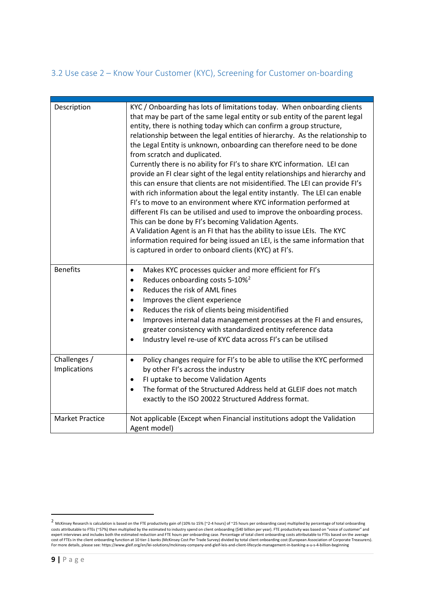# <span id="page-8-0"></span>3.2 Use case 2 – Know Your Customer (KYC), Screening for Customer on-boarding

| Description                  | KYC / Onboarding has lots of limitations today. When onboarding clients<br>that may be part of the same legal entity or sub entity of the parent legal<br>entity, there is nothing today which can confirm a group structure,<br>relationship between the legal entities of hierarchy. As the relationship to<br>the Legal Entity is unknown, onboarding can therefore need to be done<br>from scratch and duplicated.<br>Currently there is no ability for FI's to share KYC information. LEI can<br>provide an FI clear sight of the legal entity relationships and hierarchy and<br>this can ensure that clients are not misidentified. The LEI can provide FI's<br>with rich information about the legal entity instantly. The LEI can enable<br>FI's to move to an environment where KYC information performed at<br>different FIs can be utilised and used to improve the onboarding process.<br>This can be done by FI's becoming Validation Agents.<br>A Validation Agent is an FI that has the ability to issue LEIs. The KYC<br>information required for being issued an LEI, is the same information that<br>is captured in order to onboard clients (KYC) at FI's. |
|------------------------------|--------------------------------------------------------------------------------------------------------------------------------------------------------------------------------------------------------------------------------------------------------------------------------------------------------------------------------------------------------------------------------------------------------------------------------------------------------------------------------------------------------------------------------------------------------------------------------------------------------------------------------------------------------------------------------------------------------------------------------------------------------------------------------------------------------------------------------------------------------------------------------------------------------------------------------------------------------------------------------------------------------------------------------------------------------------------------------------------------------------------------------------------------------------------------------|
| <b>Benefits</b>              | Makes KYC processes quicker and more efficient for FI's<br>$\bullet$<br>Reduces onboarding costs 5-10% <sup>2</sup><br>$\bullet$<br>Reduces the risk of AML fines<br>$\bullet$<br>Improves the client experience<br>$\bullet$<br>Reduces the risk of clients being misidentified<br>$\bullet$<br>Improves internal data management processes at the FI and ensures,<br>$\bullet$<br>greater consistency with standardized entity reference data<br>Industry level re-use of KYC data across FI's can be utilised<br>$\bullet$                                                                                                                                                                                                                                                                                                                                                                                                                                                                                                                                                                                                                                                  |
| Challenges /<br>Implications | Policy changes require for FI's to be able to utilise the KYC performed<br>$\bullet$<br>by other FI's across the industry<br>FI uptake to become Validation Agents<br>$\bullet$<br>The format of the Structured Address held at GLEIF does not match<br>$\bullet$<br>exactly to the ISO 20022 Structured Address format.                                                                                                                                                                                                                                                                                                                                                                                                                                                                                                                                                                                                                                                                                                                                                                                                                                                       |
| <b>Market Practice</b>       | Not applicable (Except when Financial institutions adopt the Validation<br>Agent model)                                                                                                                                                                                                                                                                                                                                                                                                                                                                                                                                                                                                                                                                                                                                                                                                                                                                                                                                                                                                                                                                                        |

<span id="page-8-1"></span><sup>2</sup> McKinsey Research is calculation is based on the FTE productivity gain of (10% to 15% [~2-4 hours] of ~25 hours per onboarding case) multiplied by percentage of total onboarding costs attributable to FTEs (~57%) then multiplied by the estimated to industry spend on client onboarding (\$40 billion per year). FTE productivity was based on "voice of customer" and<br>expert interviews and includes both th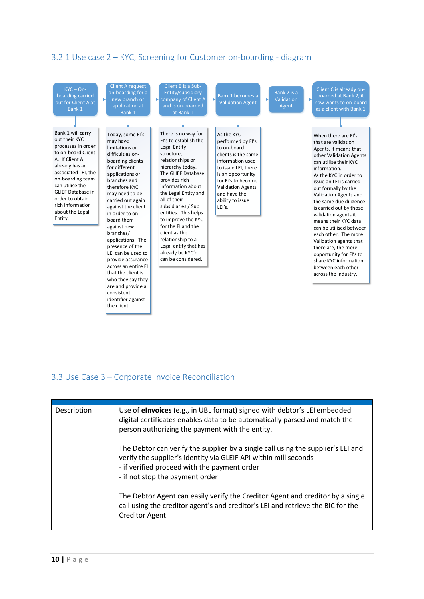# <span id="page-9-0"></span>3.2.1 Use case 2 – KYC, Screening for Customer on-boarding - diagram



# <span id="page-9-1"></span>3.3 Use Case 3 – Corporate Invoice Reconciliation

| Description | Use of elnvoices (e.g., in UBL format) signed with debtor's LEI embedded<br>digital certificates enables data to be automatically parsed and match the<br>person authorizing the payment with the entity.                               |
|-------------|-----------------------------------------------------------------------------------------------------------------------------------------------------------------------------------------------------------------------------------------|
|             | The Debtor can verify the supplier by a single call using the supplier's LEI and<br>verify the supplier's identity via GLEIF API within milliseconds<br>- if verified proceed with the payment order<br>- if not stop the payment order |
|             | The Debtor Agent can easily verify the Creditor Agent and creditor by a single<br>call using the creditor agent's and creditor's LEI and retrieve the BIC for the<br>Creditor Agent.                                                    |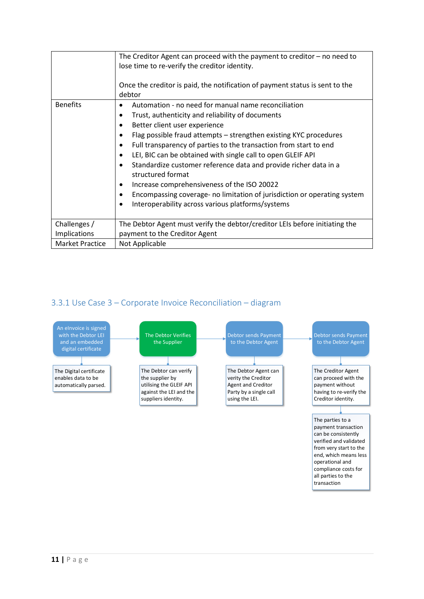|                        | The Creditor Agent can proceed with the payment to creditor $-$ no need to<br>lose time to re-verify the creditor identity.<br>Once the creditor is paid, the notification of payment status is sent to the<br>debtor                                                                                                                                                                                                                                                                                                                                                                                                                                                                                           |  |
|------------------------|-----------------------------------------------------------------------------------------------------------------------------------------------------------------------------------------------------------------------------------------------------------------------------------------------------------------------------------------------------------------------------------------------------------------------------------------------------------------------------------------------------------------------------------------------------------------------------------------------------------------------------------------------------------------------------------------------------------------|--|
| <b>Benefits</b>        | Automation - no need for manual name reconciliation<br>$\bullet$<br>Trust, authenticity and reliability of documents<br>$\bullet$<br>Better client user experience<br>٠<br>Flag possible fraud attempts – strengthen existing KYC procedures<br>٠<br>Full transparency of parties to the transaction from start to end<br>$\bullet$<br>LEI, BIC can be obtained with single call to open GLEIF API<br>$\bullet$<br>Standardize customer reference data and provide richer data in a<br>structured format<br>Increase comprehensiveness of the ISO 20022<br>٠<br>Encompassing coverage- no limitation of jurisdiction or operating system<br>٠<br>Interoperability across various platforms/systems<br>$\bullet$ |  |
| Challenges /           | The Debtor Agent must verify the debtor/creditor LEIs before initiating the                                                                                                                                                                                                                                                                                                                                                                                                                                                                                                                                                                                                                                     |  |
| Implications           | payment to the Creditor Agent                                                                                                                                                                                                                                                                                                                                                                                                                                                                                                                                                                                                                                                                                   |  |
| <b>Market Practice</b> | Not Applicable                                                                                                                                                                                                                                                                                                                                                                                                                                                                                                                                                                                                                                                                                                  |  |

# <span id="page-10-0"></span>3.3.1 Use Case 3 – Corporate Invoice Reconciliation – diagram



transaction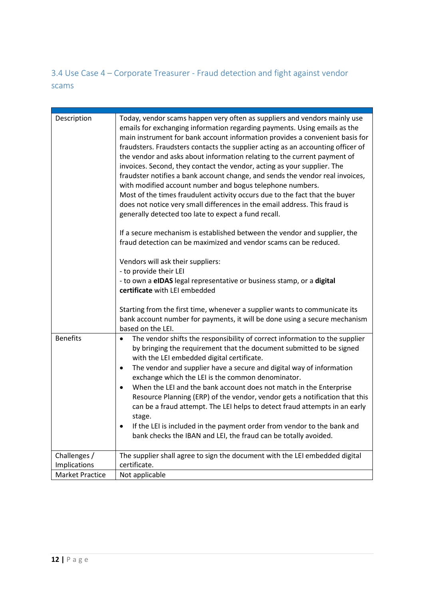<span id="page-11-0"></span>3.4 Use Case 4 – Corporate Treasurer - Fraud detection and fight against vendor scams

| Description<br><b>Benefits</b>         | Today, vendor scams happen very often as suppliers and vendors mainly use<br>emails for exchanging information regarding payments. Using emails as the<br>main instrument for bank account information provides a convenient basis for<br>fraudsters. Fraudsters contacts the supplier acting as an accounting officer of<br>the vendor and asks about information relating to the current payment of<br>invoices. Second, they contact the vendor, acting as your supplier. The<br>fraudster notifies a bank account change, and sends the vendor real invoices,<br>with modified account number and bogus telephone numbers.<br>Most of the times fraudulent activity occurs due to the fact that the buyer<br>does not notice very small differences in the email address. This fraud is<br>generally detected too late to expect a fund recall.<br>If a secure mechanism is established between the vendor and supplier, the<br>fraud detection can be maximized and vendor scams can be reduced.<br>Vendors will ask their suppliers:<br>- to provide their LEI<br>- to own a eIDAS legal representative or business stamp, or a digital<br>certificate with LEI embedded<br>Starting from the first time, whenever a supplier wants to communicate its<br>bank account number for payments, it will be done using a secure mechanism<br>based on the LEI.<br>The vendor shifts the responsibility of correct information to the supplier<br>$\bullet$ |
|----------------------------------------|-------------------------------------------------------------------------------------------------------------------------------------------------------------------------------------------------------------------------------------------------------------------------------------------------------------------------------------------------------------------------------------------------------------------------------------------------------------------------------------------------------------------------------------------------------------------------------------------------------------------------------------------------------------------------------------------------------------------------------------------------------------------------------------------------------------------------------------------------------------------------------------------------------------------------------------------------------------------------------------------------------------------------------------------------------------------------------------------------------------------------------------------------------------------------------------------------------------------------------------------------------------------------------------------------------------------------------------------------------------------------------------------------------------------------------------------------------------|
|                                        | by bringing the requirement that the document submitted to be signed<br>with the LEI embedded digital certificate.<br>The vendor and supplier have a secure and digital way of information<br>$\bullet$                                                                                                                                                                                                                                                                                                                                                                                                                                                                                                                                                                                                                                                                                                                                                                                                                                                                                                                                                                                                                                                                                                                                                                                                                                                     |
|                                        | exchange which the LEI is the common denominator.<br>When the LEI and the bank account does not match in the Enterprise<br>$\bullet$                                                                                                                                                                                                                                                                                                                                                                                                                                                                                                                                                                                                                                                                                                                                                                                                                                                                                                                                                                                                                                                                                                                                                                                                                                                                                                                        |
|                                        | Resource Planning (ERP) of the vendor, vendor gets a notification that this<br>can be a fraud attempt. The LEI helps to detect fraud attempts in an early<br>stage.                                                                                                                                                                                                                                                                                                                                                                                                                                                                                                                                                                                                                                                                                                                                                                                                                                                                                                                                                                                                                                                                                                                                                                                                                                                                                         |
|                                        | If the LEI is included in the payment order from vendor to the bank and<br>$\bullet$<br>bank checks the IBAN and LEI, the fraud can be totally avoided.                                                                                                                                                                                                                                                                                                                                                                                                                                                                                                                                                                                                                                                                                                                                                                                                                                                                                                                                                                                                                                                                                                                                                                                                                                                                                                     |
| Challenges /                           | The supplier shall agree to sign the document with the LEI embedded digital                                                                                                                                                                                                                                                                                                                                                                                                                                                                                                                                                                                                                                                                                                                                                                                                                                                                                                                                                                                                                                                                                                                                                                                                                                                                                                                                                                                 |
| Implications<br><b>Market Practice</b> | certificate.<br>Not applicable                                                                                                                                                                                                                                                                                                                                                                                                                                                                                                                                                                                                                                                                                                                                                                                                                                                                                                                                                                                                                                                                                                                                                                                                                                                                                                                                                                                                                              |
|                                        |                                                                                                                                                                                                                                                                                                                                                                                                                                                                                                                                                                                                                                                                                                                                                                                                                                                                                                                                                                                                                                                                                                                                                                                                                                                                                                                                                                                                                                                             |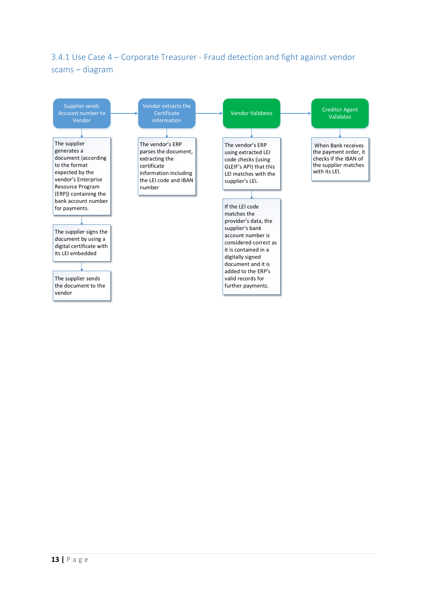# <span id="page-12-0"></span>3.4.1 Use Case 4 – Corporate Treasurer - Fraud detection and fight against vendor scams – diagram

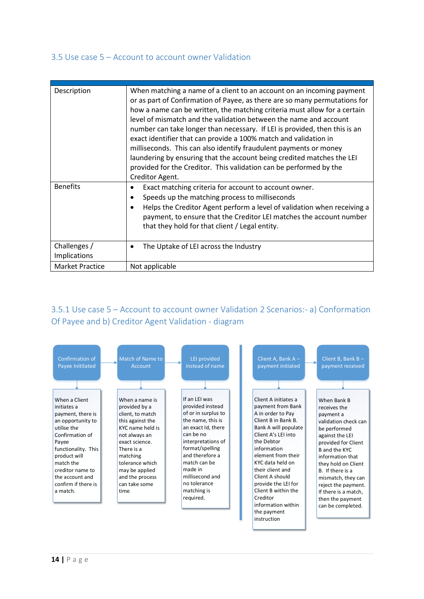#### <span id="page-13-0"></span>3.5 Use case 5 – Account to account owner Validation

| Description                         | When matching a name of a client to an account on an incoming payment<br>or as part of Confirmation of Payee, as there are so many permutations for<br>how a name can be written, the matching criteria must allow for a certain<br>level of mismatch and the validation between the name and account<br>number can take longer than necessary. If LEI is provided, then this is an<br>exact identifier that can provide a 100% match and validation in<br>milliseconds. This can also identify fraudulent payments or money<br>laundering by ensuring that the account being credited matches the LEI<br>provided for the Creditor. This validation can be performed by the<br>Creditor Agent. |  |
|-------------------------------------|-------------------------------------------------------------------------------------------------------------------------------------------------------------------------------------------------------------------------------------------------------------------------------------------------------------------------------------------------------------------------------------------------------------------------------------------------------------------------------------------------------------------------------------------------------------------------------------------------------------------------------------------------------------------------------------------------|--|
| <b>Benefits</b>                     | Exact matching criteria for account to account owner.<br>Speeds up the matching process to milliseconds<br>Helps the Creditor Agent perform a level of validation when receiving a<br>payment, to ensure that the Creditor LEI matches the account number<br>that they hold for that client / Legal entity.                                                                                                                                                                                                                                                                                                                                                                                     |  |
| Challenges /<br><b>Implications</b> | The Uptake of LEI across the Industry<br>٠                                                                                                                                                                                                                                                                                                                                                                                                                                                                                                                                                                                                                                                      |  |
| <b>Market Practice</b>              | Not applicable                                                                                                                                                                                                                                                                                                                                                                                                                                                                                                                                                                                                                                                                                  |  |

# <span id="page-13-1"></span>3.5.1 Use case 5 – Account to account owner Validation 2 Scenarios:- a) Conformation Of Payee and b) Creditor Agent Validation - diagram

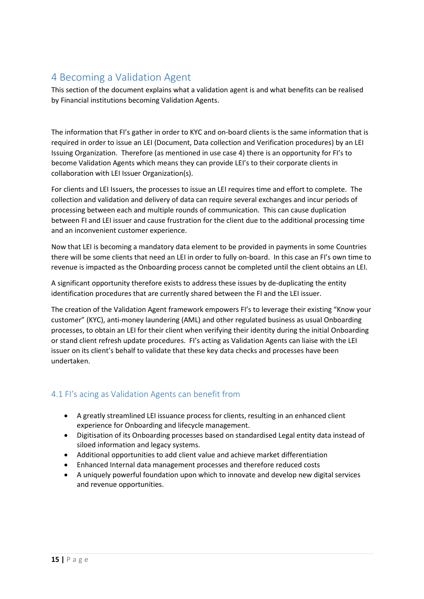# <span id="page-14-0"></span>4 Becoming a Validation Agent

This section of the document explains what a validation agent is and what benefits can be realised by Financial institutions becoming Validation Agents.

The information that FI's gather in order to KYC and on-board clients is the same information that is required in order to issue an LEI (Document, Data collection and Verification procedures) by an LEI Issuing Organization. Therefore (as mentioned in use case 4) there is an opportunity for FI's to becom[e Validation Agents](https://www.gleif.org/en/lei-solutions/validation-agents) which means they can provide LEI's to their corporate clients in collaboration with LEI Issuer Organization(s).

For clients and LEI Issuers, the processes to issue an LEI requires time and effort to complete. The collection and validation and delivery of data can require several exchanges and incur periods of processing between each and multiple rounds of communication. This can cause duplication between FI and LEI issuer and cause frustration for the client due to the additional processing time and an inconvenient customer experience.

Now that LEI is becoming a mandatory data element to be provided in payments in some Countries there will be some clients that need an LEI in order to fully on-board. In this case an FI's own time to revenue is impacted as the Onboarding process cannot be completed until the client obtains an LEI.

A significant opportunity therefore exists to address these issues by de-duplicating the entity identification procedures that are currently shared between the FI and the LEI issuer.

The creation of the Validation Agent framework empowers FI's to leverage their existing "Know your customer" (KYC), anti-money laundering (AML) and other regulated business as usual Onboarding processes, to obtain an LEI for their client when verifying their identity during the initial Onboarding or stand client refresh update procedures. FI's acting as Validation Agents can liaise with the LEI issuer on its client's behalf to validate that these key data checks and processes have been undertaken.

## <span id="page-14-1"></span>4.1 FI's acing as Validation Agents can benefit from

- A greatly streamlined LEI issuance process for clients, resulting in an enhanced client experience for Onboarding and lifecycle management.
- Digitisation of its Onboarding processes based on standardised Legal entity data instead of siloed information and legacy systems.
- Additional opportunities to add client value and achieve market differentiation
- Enhanced Internal data management processes and therefore reduced costs
- A uniquely powerful foundation upon which to innovate and develop new digital services and revenue opportunities.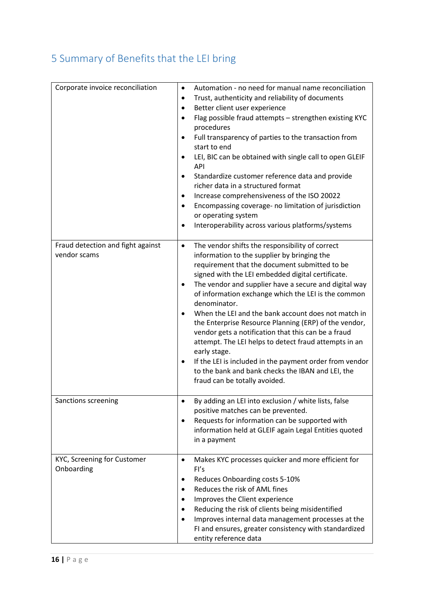# <span id="page-15-0"></span>5 Summary of Benefits that the LEI bring

| Corporate invoice reconciliation                  | Automation - no need for manual name reconciliation<br>$\bullet$<br>Trust, authenticity and reliability of documents<br>$\bullet$<br>Better client user experience<br>Flag possible fraud attempts - strengthen existing KYC<br>procedures<br>Full transparency of parties to the transaction from<br>$\bullet$<br>start to end<br>LEI, BIC can be obtained with single call to open GLEIF<br><b>API</b><br>Standardize customer reference data and provide<br>$\bullet$<br>richer data in a structured format<br>Increase comprehensiveness of the ISO 20022<br>Encompassing coverage- no limitation of jurisdiction<br>$\bullet$<br>or operating system<br>Interoperability across various platforms/systems                                                  |
|---------------------------------------------------|-----------------------------------------------------------------------------------------------------------------------------------------------------------------------------------------------------------------------------------------------------------------------------------------------------------------------------------------------------------------------------------------------------------------------------------------------------------------------------------------------------------------------------------------------------------------------------------------------------------------------------------------------------------------------------------------------------------------------------------------------------------------|
| Fraud detection and fight against<br>vendor scams | The vendor shifts the responsibility of correct<br>$\bullet$<br>information to the supplier by bringing the<br>requirement that the document submitted to be<br>signed with the LEI embedded digital certificate.<br>The vendor and supplier have a secure and digital way<br>of information exchange which the LEI is the common<br>denominator.<br>When the LEI and the bank account does not match in<br>the Enterprise Resource Planning (ERP) of the vendor,<br>vendor gets a notification that this can be a fraud<br>attempt. The LEI helps to detect fraud attempts in an<br>early stage.<br>If the LEI is included in the payment order from vendor<br>$\bullet$<br>to the bank and bank checks the IBAN and LEI, the<br>fraud can be totally avoided. |
| Sanctions screening                               | By adding an LEI into exclusion / white lists, false<br>positive matches can be prevented.<br>Requests for information can be supported with<br>$\bullet$<br>information held at GLEIF again Legal Entities quoted<br>in a payment                                                                                                                                                                                                                                                                                                                                                                                                                                                                                                                              |
| KYC, Screening for Customer<br>Onboarding         | Makes KYC processes quicker and more efficient for<br>$\bullet$<br>FI's<br>Reduces Onboarding costs 5-10%<br>$\bullet$<br>Reduces the risk of AML fines<br>$\bullet$<br>Improves the Client experience<br>Reducing the risk of clients being misidentified<br>Improves internal data management processes at the<br>$\bullet$<br>FI and ensures, greater consistency with standardized<br>entity reference data                                                                                                                                                                                                                                                                                                                                                 |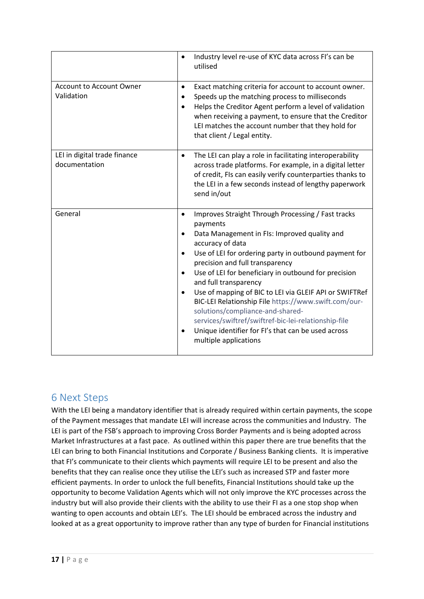|                                               | Industry level re-use of KYC data across FI's can be<br>$\bullet$<br>utilised                                                                                                                                                                                                                                                                                                                                                                                                                                                                                                                                                                                 |
|-----------------------------------------------|---------------------------------------------------------------------------------------------------------------------------------------------------------------------------------------------------------------------------------------------------------------------------------------------------------------------------------------------------------------------------------------------------------------------------------------------------------------------------------------------------------------------------------------------------------------------------------------------------------------------------------------------------------------|
| <b>Account to Account Owner</b><br>Validation | Exact matching criteria for account to account owner.<br>٠<br>Speeds up the matching process to milliseconds<br>Helps the Creditor Agent perform a level of validation<br>when receiving a payment, to ensure that the Creditor<br>LEI matches the account number that they hold for<br>that client / Legal entity.                                                                                                                                                                                                                                                                                                                                           |
| LEI in digital trade finance<br>documentation | The LEI can play a role in facilitating interoperability<br>٠<br>across trade platforms. For example, in a digital letter<br>of credit, FIs can easily verify counterparties thanks to<br>the LEI in a few seconds instead of lengthy paperwork<br>send in/out                                                                                                                                                                                                                                                                                                                                                                                                |
| General                                       | Improves Straight Through Processing / Fast tracks<br>$\bullet$<br>payments<br>Data Management in FIs: Improved quality and<br>٠<br>accuracy of data<br>Use of LEI for ordering party in outbound payment for<br>precision and full transparency<br>Use of LEI for beneficiary in outbound for precision<br>$\bullet$<br>and full transparency<br>Use of mapping of BIC to LEI via GLEIF API or SWIFTRef<br>$\bullet$<br>BIC-LEI Relationship File https://www.swift.com/our-<br>solutions/compliance-and-shared-<br>services/swiftref/swiftref-bic-lei-relationship-file<br>Unique identifier for FI's that can be used across<br>٠<br>multiple applications |

# <span id="page-16-0"></span>6 Next Steps

With the LEI being a mandatory identifier that is already required within certain payments, the scope of the Payment messages that mandate LEI will increase across the communities and Industry. The LEI is part of the FSB's approach to improving Cross Border Payments and is being adopted across Market Infrastructures at a fast pace. As outlined within this paper there are true benefits that the LEI can bring to both Financial Institutions and Corporate / Business Banking clients. It is imperative that FI's communicate to their clients which payments will require LEI to be present and also the benefits that they can realise once they utilise the LEI's such as increased STP and faster more efficient payments. In order to unlock the full benefits, Financial Institutions should take up the opportunity to become Validation Agents which will not only improve the KYC processes across the industry but will also provide their clients with the ability to use their FI as a one stop shop when wanting to open accounts and obtain LEI's. The LEI should be embraced across the industry and looked at as a great opportunity to improve rather than any type of burden for Financial institutions